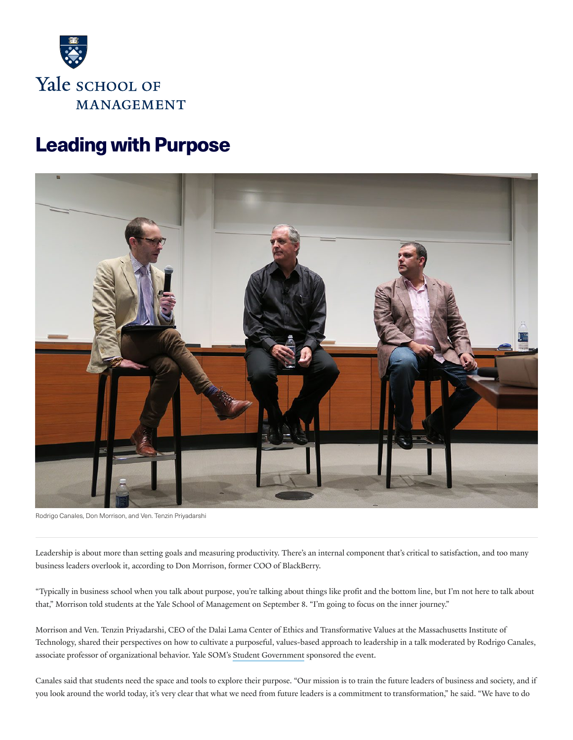

# **Leading with Purpose**



Rodrigo Canales, Don Morrison, and Ven. Tenzin Priyadarshi

Leadership is about more than setting goals and measuring productivity. There's an internal component that's critical to satisfaction, and too many business leaders overlook it, according to Don Morrison, former COO of BlackBerry.

"Typically in business school when you talk about purpose, you're talking about things like profit and the bottom line, but I'm not here to talk about that," Morrison told students at the Yale School of Management on September 8. "I'm going to focus on the inner journey."

Morrison and Ven. Tenzin Priyadarshi, CEO of the Dalai Lama Center of Ethics and Transformative Values at the Massachusetts Institute of Technology, shared their perspectives on how to cultivate a purposeful, values-based approach to leadership in a talk moderated by Rodrigo Canales, associate professor of organizational behavior. Yale SOM's Student [Government](https://groups.som.yale.edu/gov/home/) sponsored the event.

Canales said that students need the space and tools to explore their purpose. "Our mission is to train the future leaders of business and society, and if you look around the world today, it's very clear that what we need from future leaders is a commitment to transformation," he said. "We have to do